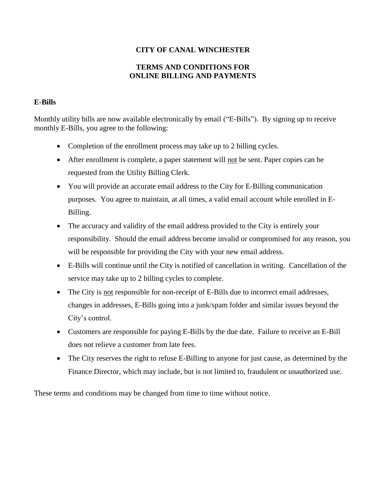## **CITY OF CANAL WINCHESTER**

## **TERMS AND CONDITIONS FOR ONLINE BILLING AND PAYMENTS**

## **E-Bills**

Monthly utility bills are now available electronically by email ("E-Bills"). By signing up to receive monthly E-Bills, you agree to the following:

- Completion of the enrollment process may take up to 2 billing cycles.
- After enrollment is complete, a paper statement will not be sent. Paper copies can be requested from the Utility Billing Clerk.
- You will provide an accurate email address to the City for E-Billing communication purposes. You agree to maintain, at all times, a valid email account while enrolled in E-Billing.
- The accuracy and validity of the email address provided to the City is entirely your responsibility. Should the email address become invalid or compromised for any reason, you will be responsible for providing the City with your new email address.
- E-Bills will continue until the City is notified of cancellation in writing. Cancellation of the service may take up to 2 billing cycles to complete.
- The City is not responsible for non-receipt of E-Bills due to incorrect email addresses, changes in addresses, E-Bills going into a junk/spam folder and similar issues beyond the City's control.
- Customers are responsible for paying E-Bills by the due date. Failure to receive an E-Bill does not relieve a customer from late fees.
- The City reserves the right to refuse E-Billing to anyone for just cause, as determined by the Finance Director, which may include, but is not limited to, fraudulent or unauthorized use.

These terms and conditions may be changed from time to time without notice.